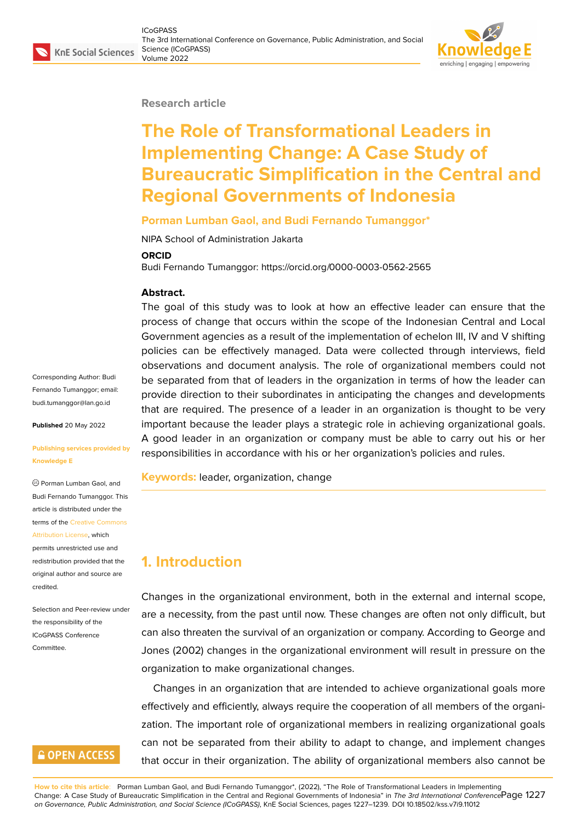#### **Research article**

# **The Role of Transformational Leaders in Implementing Change: A Case Study of Bureaucratic Simplification in the Central and Regional Governments of Indonesia**

#### **Porman Lumban Gaol, and Budi Fernando Tumanggor\***

NIPA School of Administration Jakarta

#### **ORCID**

Budi Fernando Tumanggor: https://orcid.org/0000-0003-0562-2565

#### **Abstract.**

The goal of this study was to look at how an effective leader can ensure that the process of change that occurs within the scope of the Indonesian Central and Local Government agencies as a result of the implementation of echelon III, IV and V shifting policies can be effectively managed. Data were collected through interviews, field observations and document analysis. The role of organizational members could not be separated from that of leaders in the organization in terms of how the leader can provide direction to their subordinates in anticipating the changes and developments that are required. The presence of a leader in an organization is thought to be very important because the leader plays a strategic role in achieving organizational goals. A good leader in an organization or company must be able to carry out his or her responsibilities in accordance with his or her organization's policies and rules.

**Keywords:** leader, organization, change

## **1. Introduction**

Changes in the organizational environment, both in the external and internal scope, are a necessity, from the past until now. These changes are often not only difficult, but can also threaten the survival of an organization or company. According to George and Jones (2002) changes in the organizational environment will result in pressure on the organization to make organizational changes.

Changes in an organization that are intended to achieve organizational goals more effectively and efficiently, always require the cooperation of all members of the organization. The important role of organizational members in realizing organizational goals can not be separated from their ability to adapt to change, and implement changes that occur in their organization. The ability of organizational members also cannot be

**How to cite this article**: Porman Lumban Gaol, and Budi Fernando Tumanggor\*, (2022), "The Role of Transformational Leaders in Implementing Change: A Case Study of Bureaucratic Simplification in the Central and Regional Governments of Indonesia" in *The 3rd International Conference* Page 1227 *on Governance, Public Administration, and Social Science (ICoGPASS)*, KnE Social Sciences, pages 1227–1239. DOI 10.18502/kss.v7i9.11012

Corresponding Author: Budi Fernando Tumanggor; email: budi.tumanggor@lan.go.id

**Published** 20 May 2022

#### **[Publishing services provid](mailto:budi.tumanggor@lan.go.id)ed by Knowledge E**

Porman Lumban Gaol, and Budi Fernando Tumanggor. This article is distributed under the terms of the Creative Commons Attribution License, which

permits unrestricted use and redistribution provided that the original auth[or and source are](https://creativecommons.org/licenses/by/4.0/) [credited.](https://creativecommons.org/licenses/by/4.0/)

Selection and Peer-review under the responsibility of the ICoGPASS Conference Committee.

### **GOPEN ACCESS**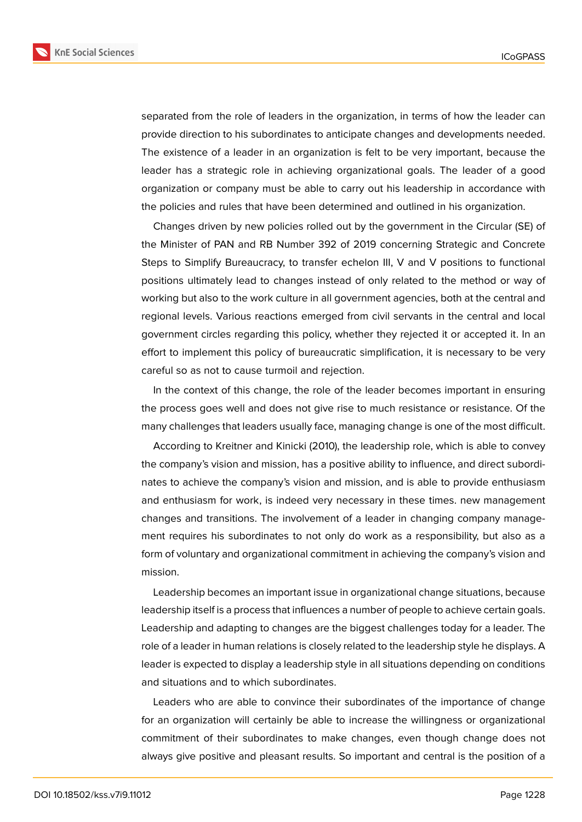**KnE Social Sciences** 



separated from the role of leaders in the organization, in terms of how the leader can provide direction to his subordinates to anticipate changes and developments needed. The existence of a leader in an organization is felt to be very important, because the leader has a strategic role in achieving organizational goals. The leader of a good organization or company must be able to carry out his leadership in accordance with the policies and rules that have been determined and outlined in his organization.

Changes driven by new policies rolled out by the government in the Circular (SE) of the Minister of PAN and RB Number 392 of 2019 concerning Strategic and Concrete Steps to Simplify Bureaucracy, to transfer echelon III, V and V positions to functional positions ultimately lead to changes instead of only related to the method or way of working but also to the work culture in all government agencies, both at the central and regional levels. Various reactions emerged from civil servants in the central and local government circles regarding this policy, whether they rejected it or accepted it. In an effort to implement this policy of bureaucratic simplification, it is necessary to be very careful so as not to cause turmoil and rejection.

In the context of this change, the role of the leader becomes important in ensuring the process goes well and does not give rise to much resistance or resistance. Of the many challenges that leaders usually face, managing change is one of the most difficult.

According to Kreitner and Kinicki (2010), the leadership role, which is able to convey the company's vision and mission, has a positive ability to influence, and direct subordinates to achieve the company's vision and mission, and is able to provide enthusiasm and enthusiasm for work, is indeed very necessary in these times. new management changes and transitions. The involvement of a leader in changing company management requires his subordinates to not only do work as a responsibility, but also as a form of voluntary and organizational commitment in achieving the company's vision and mission.

Leadership becomes an important issue in organizational change situations, because leadership itself is a process that influences a number of people to achieve certain goals. Leadership and adapting to changes are the biggest challenges today for a leader. The role of a leader in human relations is closely related to the leadership style he displays. A leader is expected to display a leadership style in all situations depending on conditions and situations and to which subordinates.

Leaders who are able to convince their subordinates of the importance of change for an organization will certainly be able to increase the willingness or organizational commitment of their subordinates to make changes, even though change does not always give positive and pleasant results. So important and central is the position of a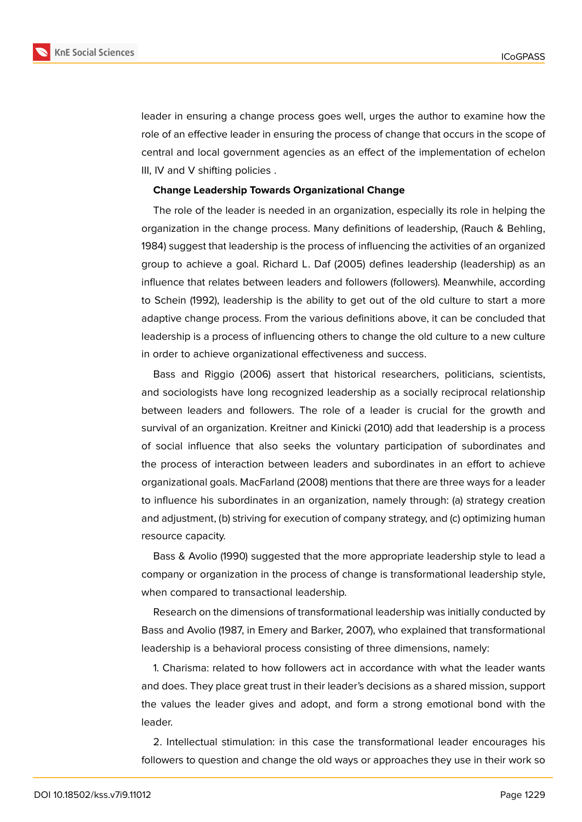

leader in ensuring a change process goes well, urges the author to examine how the role of an effective leader in ensuring the process of change that occurs in the scope of central and local government agencies as an effect of the implementation of echelon III, IV and V shifting policies .

#### **Change Leadership Towards Organizational Change**

The role of the leader is needed in an organization, especially its role in helping the organization in the change process. Many definitions of leadership, (Rauch & Behling, 1984) suggest that leadership is the process of influencing the activities of an organized group to achieve a goal. Richard L. Daf (2005) defines leadership (leadership) as an influence that relates between leaders and followers (followers). Meanwhile, according to Schein (1992), leadership is the ability to get out of the old culture to start a more adaptive change process. From the various definitions above, it can be concluded that leadership is a process of influencing others to change the old culture to a new culture in order to achieve organizational effectiveness and success.

Bass and Riggio (2006) assert that historical researchers, politicians, scientists, and sociologists have long recognized leadership as a socially reciprocal relationship between leaders and followers. The role of a leader is crucial for the growth and survival of an organization. Kreitner and Kinicki (2010) add that leadership is a process of social influence that also seeks the voluntary participation of subordinates and the process of interaction between leaders and subordinates in an effort to achieve organizational goals. MacFarland (2008) mentions that there are three ways for a leader to influence his subordinates in an organization, namely through: (a) strategy creation and adjustment, (b) striving for execution of company strategy, and (c) optimizing human resource capacity.

Bass & Avolio (1990) suggested that the more appropriate leadership style to lead a company or organization in the process of change is transformational leadership style, when compared to transactional leadership.

Research on the dimensions of transformational leadership was initially conducted by Bass and Avolio (1987, in Emery and Barker, 2007), who explained that transformational leadership is a behavioral process consisting of three dimensions, namely:

1. Charisma: related to how followers act in accordance with what the leader wants and does. They place great trust in their leader's decisions as a shared mission, support the values the leader gives and adopt, and form a strong emotional bond with the leader.

2. Intellectual stimulation: in this case the transformational leader encourages his followers to question and change the old ways or approaches they use in their work so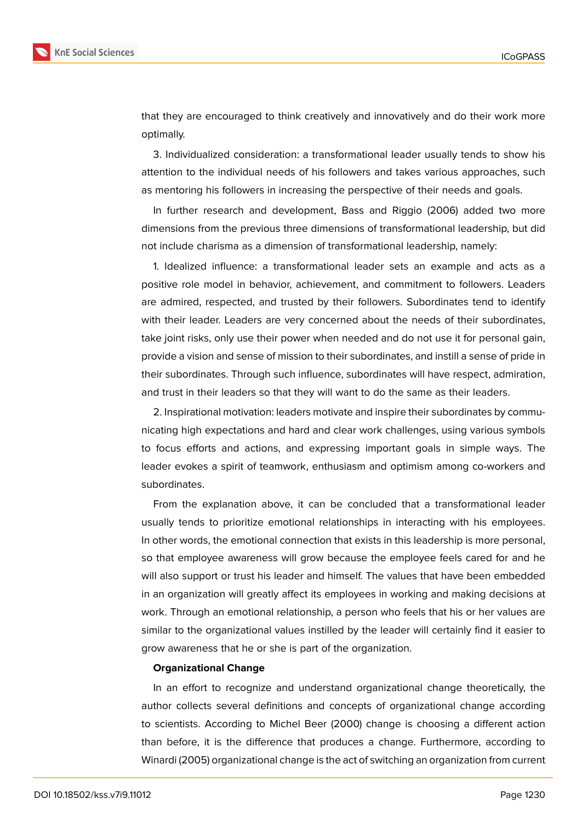

that they are encouraged to think creatively and innovatively and do their work more optimally.

3. Individualized consideration: a transformational leader usually tends to show his attention to the individual needs of his followers and takes various approaches, such as mentoring his followers in increasing the perspective of their needs and goals.

In further research and development, Bass and Riggio (2006) added two more dimensions from the previous three dimensions of transformational leadership, but did not include charisma as a dimension of transformational leadership, namely:

1. Idealized influence: a transformational leader sets an example and acts as a positive role model in behavior, achievement, and commitment to followers. Leaders are admired, respected, and trusted by their followers. Subordinates tend to identify with their leader. Leaders are very concerned about the needs of their subordinates, take joint risks, only use their power when needed and do not use it for personal gain, provide a vision and sense of mission to their subordinates, and instill a sense of pride in their subordinates. Through such influence, subordinates will have respect, admiration, and trust in their leaders so that they will want to do the same as their leaders.

2. Inspirational motivation: leaders motivate and inspire their subordinates by communicating high expectations and hard and clear work challenges, using various symbols to focus efforts and actions, and expressing important goals in simple ways. The leader evokes a spirit of teamwork, enthusiasm and optimism among co-workers and subordinates.

From the explanation above, it can be concluded that a transformational leader usually tends to prioritize emotional relationships in interacting with his employees. In other words, the emotional connection that exists in this leadership is more personal, so that employee awareness will grow because the employee feels cared for and he will also support or trust his leader and himself. The values that have been embedded in an organization will greatly affect its employees in working and making decisions at work. Through an emotional relationship, a person who feels that his or her values are similar to the organizational values instilled by the leader will certainly find it easier to grow awareness that he or she is part of the organization.

#### **Organizational Change**

In an effort to recognize and understand organizational change theoretically, the author collects several definitions and concepts of organizational change according to scientists. According to Michel Beer (2000) change is choosing a different action than before, it is the difference that produces a change. Furthermore, according to Winardi (2005) organizational change is the act of switching an organization from current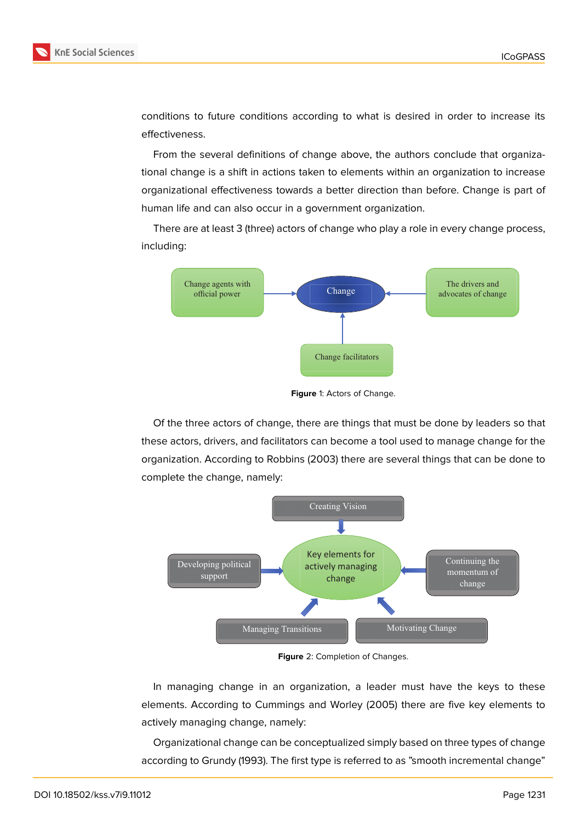

conditions to future conditions according to what is desired in order to increase its effectiveness.

From the several definitions of change above, the authors conclude that organizational change is a shift in actions taken to elements within an organization to increase organizational effectiveness towards a better direction than before. Change is part of human life and can also occur in a government organization.

There are at least 3 (three) actors of change who play a role in every change process, including:



**Figure** 1: Actors of Change.

Of the three actors of change, there are things that must be done by leaders so that these actors, drivers, and facilitators can become a tool used to manage change for the organization. According to Robbins (2003) there are several things that can be done to complete the change, namely:



**Figure** 2: Completion of Changes.

In managing change in an organization, a leader must have the keys to these elements. According to Cummings and Worley (2005) there are five key elements to actively managing change, namely:

Organizational change can be conceptualized simply based on three types of change according to Grundy (1993). The first type is referred to as "smooth incremental change"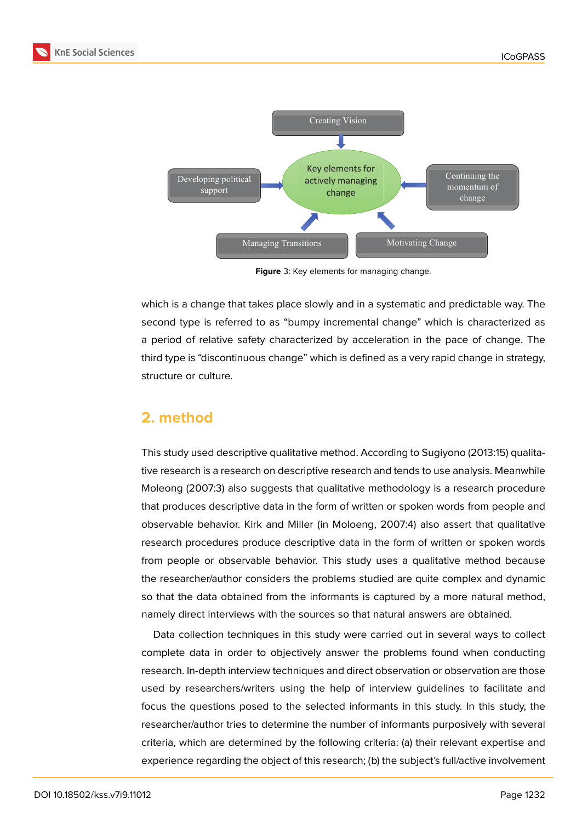

**Figure** 3: Key elements for managing change.

which is a change that takes place slowly and in a systematic and predictable way. The second type is referred to as "bumpy incremental change" which is characterized as a period of relative safety characterized by acceleration in the pace of change. The third type is "discontinuous change" which is defined as a very rapid change in strategy, structure or culture.

### **2. method**

This study used descriptive qualitative method. According to Sugiyono (2013:15) qualitative research is a research on descriptive research and tends to use analysis. Meanwhile Moleong (2007:3) also suggests that qualitative methodology is a research procedure that produces descriptive data in the form of written or spoken words from people and observable behavior. Kirk and Miller (in Moloeng, 2007:4) also assert that qualitative research procedures produce descriptive data in the form of written or spoken words from people or observable behavior. This study uses a qualitative method because the researcher/author considers the problems studied are quite complex and dynamic so that the data obtained from the informants is captured by a more natural method, namely direct interviews with the sources so that natural answers are obtained.

Data collection techniques in this study were carried out in several ways to collect complete data in order to objectively answer the problems found when conducting research. In-depth interview techniques and direct observation or observation are those used by researchers/writers using the help of interview guidelines to facilitate and focus the questions posed to the selected informants in this study. In this study, the researcher/author tries to determine the number of informants purposively with several criteria, which are determined by the following criteria: (a) their relevant expertise and experience regarding the object of this research; (b) the subject's full/active involvement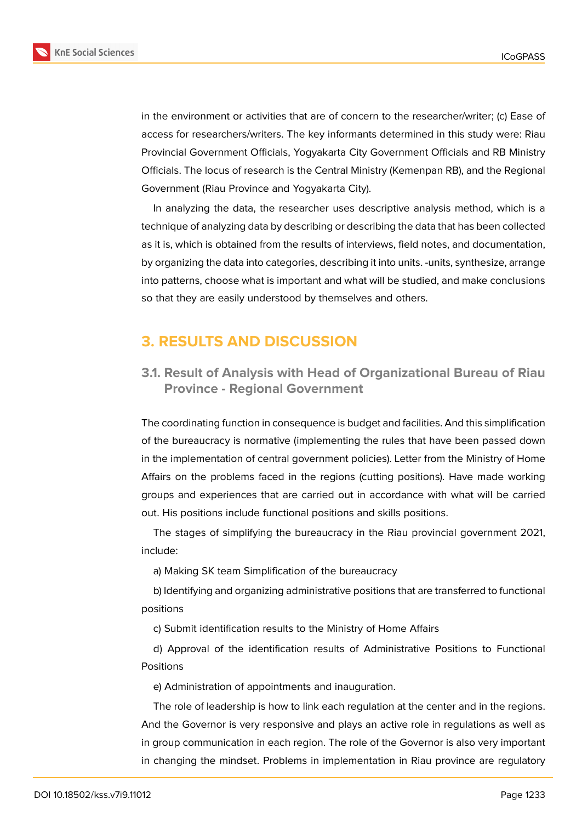![](_page_6_Picture_2.jpeg)

**KnE Social Sciences** 

in the environment or activities that are of concern to the researcher/writer; (c) Ease of access for researchers/writers. The key informants determined in this study were: Riau Provincial Government Officials, Yogyakarta City Government Officials and RB Ministry Officials. The locus of research is the Central Ministry (Kemenpan RB), and the Regional Government (Riau Province and Yogyakarta City).

In analyzing the data, the researcher uses descriptive analysis method, which is a technique of analyzing data by describing or describing the data that has been collected as it is, which is obtained from the results of interviews, field notes, and documentation, by organizing the data into categories, describing it into units. -units, synthesize, arrange into patterns, choose what is important and what will be studied, and make conclusions so that they are easily understood by themselves and others.

# **3. RESULTS AND DISCUSSION**

### **3.1. Result of Analysis with Head of Organizational Bureau of Riau Province - Regional Government**

The coordinating function in consequence is budget and facilities. And this simplification of the bureaucracy is normative (implementing the rules that have been passed down in the implementation of central government policies). Letter from the Ministry of Home Affairs on the problems faced in the regions (cutting positions). Have made working groups and experiences that are carried out in accordance with what will be carried out. His positions include functional positions and skills positions.

The stages of simplifying the bureaucracy in the Riau provincial government 2021, include:

a) Making SK team Simplification of the bureaucracy

b) Identifying and organizing administrative positions that are transferred to functional positions

c) Submit identification results to the Ministry of Home Affairs

d) Approval of the identification results of Administrative Positions to Functional Positions

e) Administration of appointments and inauguration.

The role of leadership is how to link each regulation at the center and in the regions. And the Governor is very responsive and plays an active role in regulations as well as in group communication in each region. The role of the Governor is also very important in changing the mindset. Problems in implementation in Riau province are regulatory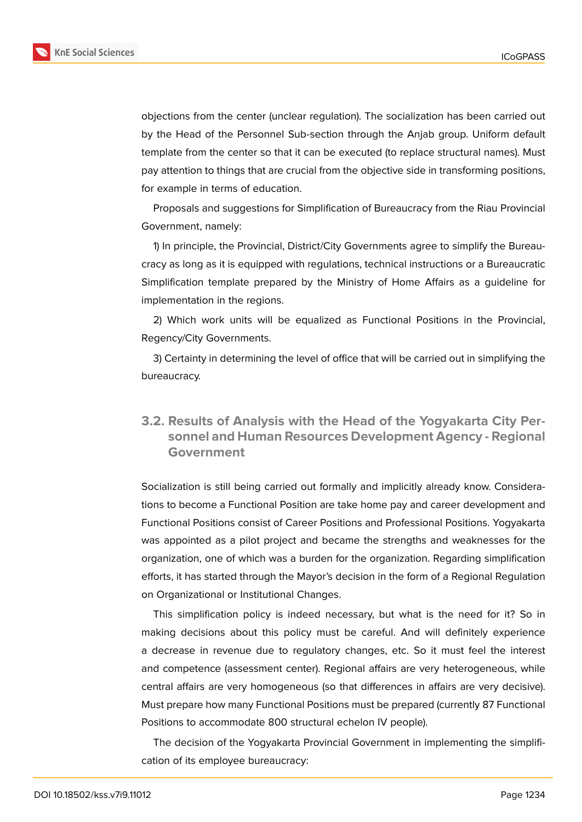![](_page_7_Picture_2.jpeg)

objections from the center (unclear regulation). The socialization has been carried out by the Head of the Personnel Sub-section through the Anjab group. Uniform default template from the center so that it can be executed (to replace structural names). Must pay attention to things that are crucial from the objective side in transforming positions, for example in terms of education.

Proposals and suggestions for Simplification of Bureaucracy from the Riau Provincial Government, namely:

1) In principle, the Provincial, District/City Governments agree to simplify the Bureaucracy as long as it is equipped with regulations, technical instructions or a Bureaucratic Simplification template prepared by the Ministry of Home Affairs as a guideline for implementation in the regions.

2) Which work units will be equalized as Functional Positions in the Provincial, Regency/City Governments.

3) Certainty in determining the level of office that will be carried out in simplifying the bureaucracy.

### **3.2. Results of Analysis with the Head of the Yogyakarta City Personnel and Human Resources Development Agency - Regional Government**

Socialization is still being carried out formally and implicitly already know. Considerations to become a Functional Position are take home pay and career development and Functional Positions consist of Career Positions and Professional Positions. Yogyakarta was appointed as a pilot project and became the strengths and weaknesses for the organization, one of which was a burden for the organization. Regarding simplification efforts, it has started through the Mayor's decision in the form of a Regional Regulation on Organizational or Institutional Changes.

This simplification policy is indeed necessary, but what is the need for it? So in making decisions about this policy must be careful. And will definitely experience a decrease in revenue due to regulatory changes, etc. So it must feel the interest and competence (assessment center). Regional affairs are very heterogeneous, while central affairs are very homogeneous (so that differences in affairs are very decisive). Must prepare how many Functional Positions must be prepared (currently 87 Functional Positions to accommodate 800 structural echelon IV people).

The decision of the Yogyakarta Provincial Government in implementing the simplification of its employee bureaucracy: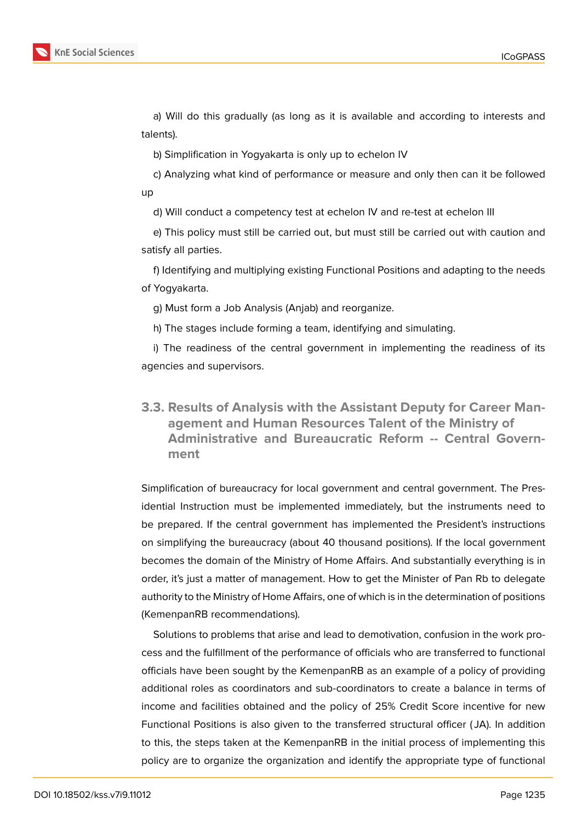![](_page_8_Picture_1.jpeg)

a) Will do this gradually (as long as it is available and according to interests and talents).

b) Simplification in Yogyakarta is only up to echelon IV

c) Analyzing what kind of performance or measure and only then can it be followed up

d) Will conduct a competency test at echelon IV and re-test at echelon III

e) This policy must still be carried out, but must still be carried out with caution and satisfy all parties.

f) Identifying and multiplying existing Functional Positions and adapting to the needs of Yogyakarta.

g) Must form a Job Analysis (Anjab) and reorganize.

h) The stages include forming a team, identifying and simulating.

i) The readiness of the central government in implementing the readiness of its agencies and supervisors.

**3.3. Results of Analysis with the Assistant Deputy for Career Management and Human Resources Talent of the Ministry of Administrative and Bureaucratic Reform -- Central Government**

Simplification of bureaucracy for local government and central government. The Presidential Instruction must be implemented immediately, but the instruments need to be prepared. If the central government has implemented the President's instructions on simplifying the bureaucracy (about 40 thousand positions). If the local government becomes the domain of the Ministry of Home Affairs. And substantially everything is in order, it's just a matter of management. How to get the Minister of Pan Rb to delegate authority to the Ministry of Home Affairs, one of which is in the determination of positions (KemenpanRB recommendations).

Solutions to problems that arise and lead to demotivation, confusion in the work process and the fulfillment of the performance of officials who are transferred to functional officials have been sought by the KemenpanRB as an example of a policy of providing additional roles as coordinators and sub-coordinators to create a balance in terms of income and facilities obtained and the policy of 25% Credit Score incentive for new Functional Positions is also given to the transferred structural officer ( JA). In addition to this, the steps taken at the KemenpanRB in the initial process of implementing this policy are to organize the organization and identify the appropriate type of functional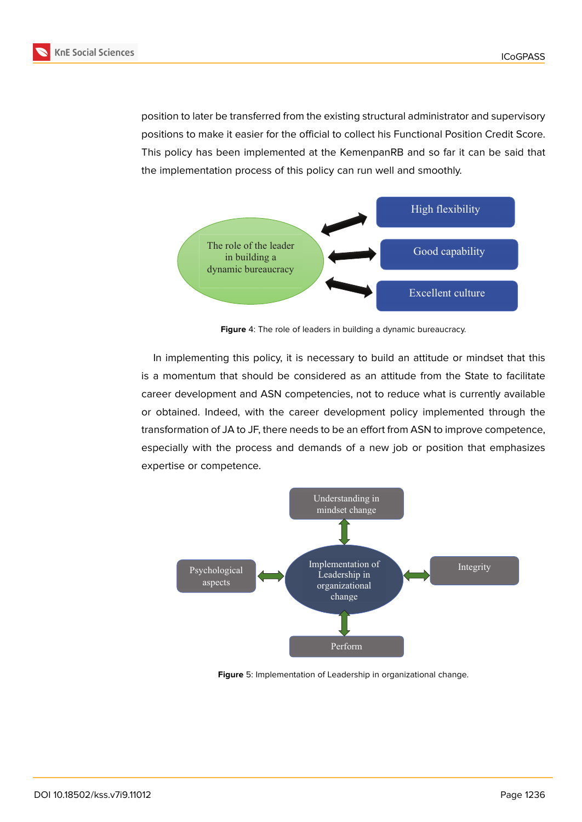![](_page_9_Picture_1.jpeg)

position to later be transferred from the existing structural administrator and supervisory positions to make it easier for the official to collect his Functional Position Credit Score. This policy has been implemented at the KemenpanRB and so far it can be said that the implementation process of this policy can run well and smoothly.

![](_page_9_Figure_4.jpeg)

**Figure** 4: The role of leaders in building a dynamic bureaucracy.

In implementing this policy, it is necessary to build an attitude or mindset that this is a momentum that should be considered as an attitude from the State to facilitate career development and ASN competencies, not to reduce what is currently available or obtained. Indeed, with the career development policy implemented through the transformation of JA to JF, there needs to be an effort from ASN to improve competence, especially with the process and demands of a new job or position that emphasizes expertise or competence.

![](_page_9_Figure_7.jpeg)

**Figure** 5: Implementation of Leadership in organizational change.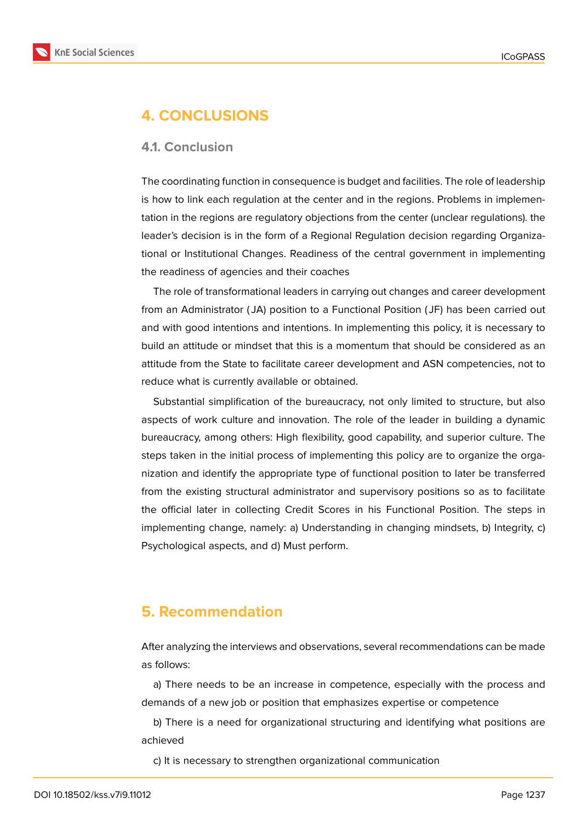![](_page_10_Picture_2.jpeg)

# **4. CONCLUSIONS**

### **4.1. Conclusion**

The coordinating function in consequence is budget and facilities. The role of leadership is how to link each regulation at the center and in the regions. Problems in implementation in the regions are regulatory objections from the center (unclear regulations). the leader's decision is in the form of a Regional Regulation decision regarding Organizational or Institutional Changes. Readiness of the central government in implementing the readiness of agencies and their coaches

The role of transformational leaders in carrying out changes and career development from an Administrator ( JA) position to a Functional Position ( JF) has been carried out and with good intentions and intentions. In implementing this policy, it is necessary to build an attitude or mindset that this is a momentum that should be considered as an attitude from the State to facilitate career development and ASN competencies, not to reduce what is currently available or obtained.

Substantial simplification of the bureaucracy, not only limited to structure, but also aspects of work culture and innovation. The role of the leader in building a dynamic bureaucracy, among others: High flexibility, good capability, and superior culture. The steps taken in the initial process of implementing this policy are to organize the organization and identify the appropriate type of functional position to later be transferred from the existing structural administrator and supervisory positions so as to facilitate the official later in collecting Credit Scores in his Functional Position. The steps in implementing change, namely: a) Understanding in changing mindsets, b) Integrity, c) Psychological aspects, and d) Must perform.

### **5. Recommendation**

After analyzing the interviews and observations, several recommendations can be made as follows:

a) There needs to be an increase in competence, especially with the process and demands of a new job or position that emphasizes expertise or competence

b) There is a need for organizational structuring and identifying what positions are achieved

c) It is necessary to strengthen organizational communication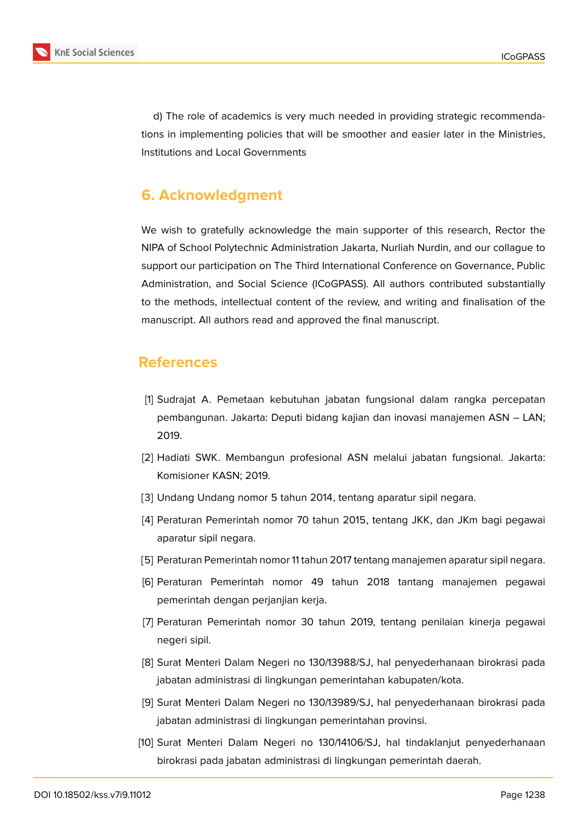![](_page_11_Picture_1.jpeg)

d) The role of academics is very much needed in providing strategic recommendations in implementing policies that will be smoother and easier later in the Ministries, Institutions and Local Governments

# **6. Acknowledgment**

We wish to gratefully acknowledge the main supporter of this research, Rector the NIPA of School Polytechnic Administration Jakarta, Nurliah Nurdin, and our collague to support our participation on The Third International Conference on Governance, Public Administration, and Social Science (ICoGPASS). All authors contributed substantially to the methods, intellectual content of the review, and writing and finalisation of the manuscript. All authors read and approved the final manuscript.

### **References**

- [1] Sudrajat A. Pemetaan kebutuhan jabatan fungsional dalam rangka percepatan pembangunan. Jakarta: Deputi bidang kajian dan inovasi manajemen ASN – LAN; 2019.
- [2] Hadiati SWK. Membangun profesional ASN melalui jabatan fungsional. Jakarta: Komisioner KASN; 2019.
- [3] Undang Undang nomor 5 tahun 2014, tentang aparatur sipil negara.
- [4] Peraturan Pemerintah nomor 70 tahun 2015, tentang JKK, dan JKm bagi pegawai aparatur sipil negara.
- [5] Peraturan Pemerintah nomor 11 tahun 2017 tentang manajemen aparatur sipil negara.
- [6] Peraturan Pemerintah nomor 49 tahun 2018 tantang manajemen pegawai pemerintah dengan perjanjian kerja.
- [7] Peraturan Pemerintah nomor 30 tahun 2019, tentang penilaian kinerja pegawai negeri sipil.
- [8] Surat Menteri Dalam Negeri no 130/13988/SJ, hal penyederhanaan birokrasi pada jabatan administrasi di lingkungan pemerintahan kabupaten/kota.
- [9] Surat Menteri Dalam Negeri no 130/13989/SJ, hal penyederhanaan birokrasi pada jabatan administrasi di lingkungan pemerintahan provinsi.
- [10] Surat Menteri Dalam Negeri no 130/14106/SJ, hal tindaklanjut penyederhanaan birokrasi pada jabatan administrasi di lingkungan pemerintah daerah.